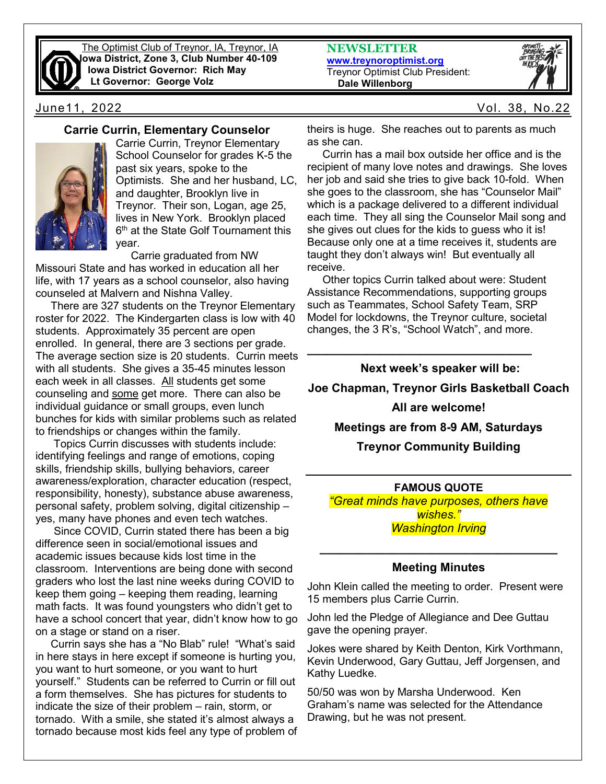

The Optimist Club of Treynor, IA, Treynor, IA **Iowa District, Zone 3, Club Number 40-109 Iowa District Governor: Rich May Lt Governor: George Volz**

### **Carrie Currin, Elementary Counselor**



Carrie Currin, Treynor Elementary School Counselor for grades K-5 the past six years, spoke to the Optimists. She and her husband, LC, and daughter, Brooklyn live in Treynor. Their son, Logan, age 25, lives in New York. Brooklyn placed 6<sup>th</sup> at the State Golf Tournament this year.

Carrie graduated from NW

Missouri State and has worked in education all her life, with 17 years as a school counselor, also having counseled at Malvern and Nishna Valley.

 There are 327 students on the Treynor Elementary roster for 2022. The Kindergarten class is low with 40 students. Approximately 35 percent are open enrolled. In general, there are 3 sections per grade. The average section size is 20 students. Currin meets with all students. She gives a 35-45 minutes lesson each week in all classes. All students get some counseling and some get more. There can also be individual guidance or small groups, even lunch bunches for kids with similar problems such as related to friendships or changes within the family.

 Topics Currin discusses with students include: identifying feelings and range of emotions, coping skills, friendship skills, bullying behaviors, career awareness/exploration, character education (respect, responsibility, honesty), substance abuse awareness, personal safety, problem solving, digital citizenship – yes, many have phones and even tech watches.

 Since COVID, Currin stated there has been a big difference seen in social/emotional issues and academic issues because kids lost time in the classroom. Interventions are being done with second graders who lost the last nine weeks during COVID to keep them going – keeping them reading, learning math facts. It was found youngsters who didn't get to have a school concert that year, didn't know how to go on a stage or stand on a riser.

 Currin says she has a "No Blab" rule! "What's said in here stays in here except if someone is hurting you, you want to hurt someone, or you want to hurt yourself." Students can be referred to Currin or fill out a form themselves. She has pictures for students to indicate the size of their problem – rain, storm, or tornado. With a smile, she stated it's almost always a tornado because most kids feel any type of problem of **NEWSLETTER [www.treynoroptimist.org](http://www.treynoroptimist.org/)** Treynor Optimist Club President:  **Dale Willenborg**



June11, 2022 Vol. 38, No.22

theirs is huge. She reaches out to parents as much as she can.

 Currin has a mail box outside her office and is the recipient of many love notes and drawings. She loves her job and said she tries to give back 10-fold. When she goes to the classroom, she has "Counselor Mail" which is a package delivered to a different individual each time. They all sing the Counselor Mail song and she gives out clues for the kids to guess who it is! Because only one at a time receives it, students are taught they don't always win! But eventually all receive.

 Other topics Currin talked about were: Student Assistance Recommendations, supporting groups such as Teammates, School Safety Team, SRP Model for lockdowns, the Treynor culture, societal changes, the 3 R's, "School Watch", and more.

**\_\_\_\_\_\_\_\_\_\_\_\_\_\_\_\_\_\_\_\_\_\_\_\_\_\_\_\_\_\_\_\_\_\_**

#### **Next week's speaker will be:**

**Joe Chapman, Treynor Girls Basketball Coach**

#### **All are welcome!**

**Meetings are from 8-9 AM, Saturdays**

**Treynor Community Building**

**FAMOUS QUOTE** *"Great minds have purposes, others have wishes." Washington Irving*

## **\_\_\_\_\_\_\_\_\_\_\_\_\_\_\_\_\_\_\_\_\_\_\_\_\_\_\_\_\_\_\_\_\_\_\_\_ Meeting Minutes**

John Klein called the meeting to order. Present were 15 members plus Carrie Currin.

John led the Pledge of Allegiance and Dee Guttau gave the opening prayer.

Jokes were shared by Keith Denton, Kirk Vorthmann, Kevin Underwood, Gary Guttau, Jeff Jorgensen, and Kathy Luedke.

50/50 was won by Marsha Underwood. Ken Graham's name was selected for the Attendance Drawing, but he was not present.